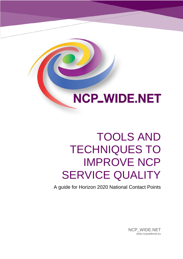

# TOOLS AND TECHNIQUES TO IMPROVE NCP SERVICE QUALITY

A guide for Horizon 2020 National Contact Points

NCP\_WIDE.NET www.ncpwidenet.eu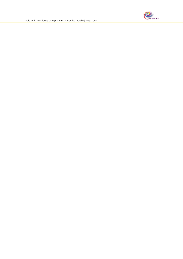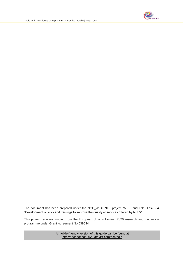

The document has been prepared under the NCP\_WIDE.NET project, WP 2 and Title, Task 2.4 "Development of tools and trainings to improve the quality of services offered by NCPs".

This project receives funding from the European Union's Horizon 2020 research and innovation programme under Grant Agreement No 639034.

> A mobile-friendly version of this guide can be found at <https://ncphorizon2020.atavist.com/ncptools>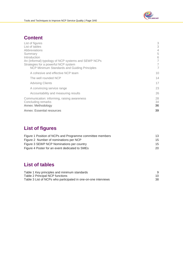

### **Content**

| List of figures                                     | 3              |
|-----------------------------------------------------|----------------|
| List of tables                                      | 3              |
| Abbreviations                                       | $\overline{4}$ |
| Summary                                             | 5              |
| Introduction                                        | 6              |
| An (informal) typology of NCP systems and SEWP NCPs | $\overline{7}$ |
| Strategies for a powerful NCP system                | $\overline{7}$ |
| NCP Minimum Standards and Guiding Principles        | 7              |
| A cohesive and effective NCP team                   | 10             |
| The well rounded NCP                                | 14             |
| <b>Advising Clients</b>                             | 17             |
| A convincing service range                          | 23             |
| Accountability and measuring results                | 26             |
| Communication: informing, raising awareness         | 28             |
| Concluding remarks                                  | 34             |
| Annex: Methodology                                  | 36             |
| Annex: Essential resources                          | 39             |

### <span id="page-3-0"></span>**List of figures**

| Figure 1 Position of NCPs and Programme committee members | 13 |
|-----------------------------------------------------------|----|
| Figure 2 Number of nominations per NCP                    | 15 |
| Figure 3 SEWP NCP Nominations per country                 | 15 |
| Figure 4 Poster for an event dedicated to SMEs            | 20 |

### <span id="page-3-1"></span>**List of tables**

| Table 1 Key principles and minimum standards                   |  |
|----------------------------------------------------------------|--|
| Table 2 Principal NCP functions                                |  |
| Table 3 List of NCPs who participated in one-on-one interviews |  |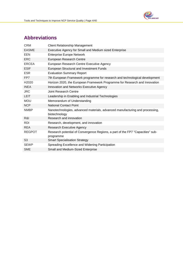

### <span id="page-4-0"></span>**Abbreviations**

| <b>CRM</b>        | <b>Client Relationship Management</b>                                                         |
|-------------------|-----------------------------------------------------------------------------------------------|
| <b>EASME</b>      | Executive Agency for Small and Medium sized Enterprise                                        |
| EEN               | <b>Enterprise Europe Network</b>                                                              |
| <b>ERC</b>        | European Research Centre                                                                      |
| <b>ERCEA</b>      | European Research Centre Executive Agency                                                     |
| <b>ESIF</b>       | European Structural and Investment Funds                                                      |
| <b>ESR</b>        | <b>Evaluation Summary Report</b>                                                              |
| FP7               | 7th European Framework programme for research and technological development                   |
| H <sub>2020</sub> | Horizon 2020, the European Framework Programme for Research and Innovation                    |
| <b>INEA</b>       | Innovation and Networks Executive Agency                                                      |
| <b>JRC</b>        | Joint Research Centre                                                                         |
| <b>LEIT</b>       | Leadership in Enabling and Industrial Technologies                                            |
| <b>MOU</b>        | Memorandum of Understanding                                                                   |
| <b>NCP</b>        | <b>National Contact Point</b>                                                                 |
| <b>NMBP</b>       | Nanotechnologies, advanced materials, advanced manufacturing and processing,<br>biotechnology |
| R&I               | Research and innovation                                                                       |
| <b>RDI</b>        | Research, development, and innovation                                                         |
| <b>REA</b>        | <b>Research Executive Agency</b>                                                              |
| <b>REGPOT</b>     | Research potential of Convergence Regions, a part of the FP7 "Capacities" sub-<br>programme   |
| S <sub>3</sub>    | <b>Smart Specialisation Strategy</b>                                                          |
| <b>SEWP</b>       | Spreading Excellence and Widening Participation                                               |
| <b>SME</b>        | Small and Medium-Sized Enterprise                                                             |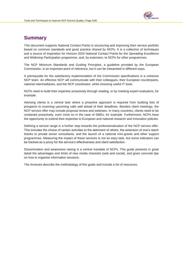

### <span id="page-5-0"></span>**Summary**

This document supports National Contact Points in structuring and improving their service portfolio based on common standards and good practice shared by NCPs. It is a collection of techniques and a source of inspiration for Horizon 2020 National Contact Points for the *Spreading Excellence and Widening Participation* programme, and, by extension, to NCPs for other programmes.

The NCP Minimum Standards and Guiding Principles, a guideline provided by the European Commission, is an important point of reference, but it can be interpreted in different ways.

A prerequisite for the satisfactory implementation of the Commission specifications is a cohesive NCP team. An effective NCP will communicate with their colleagues, their European counterparts, national intermediaries, and the NCP coordinator, while choosing useful IT tools.

NCPs need to build their expertise proactively through reading, or by meeting expert evaluators, for example.

Advising clients is a central task where a proactive approach is required from building lists of prospects to scanning upcoming calls well ahead of their deadlines. Besides client meetings, the NCP service offer may include proposal review and webinars. In many countries, clients need to be contacted proactively, even more so in the case of SMEs, for example. Furthermore, NCPs have the opportunity to extend their expertise to European and national research and innovation policies.

Defining a service range is a further step towards the professionalization of the NCP service offer. This includes the choice of certain activities to the detriment of others, the extension of one's reach thanks to private sector consultants, and the launch of a national mini-grants and other support programmes. Measuring the impact of these services is not an easy task, but some indicators can be tracked as a proxy for the service's effectiveness and client satisfaction.

Dissemination and awareness raising is a central mandate of NCPs. This guide presents in great detail the advantages and limits of new media channels (web and social), and gives concrete tips on how to organise information sessions.

The Annexes describe the methodology of this guide and include a list of resources.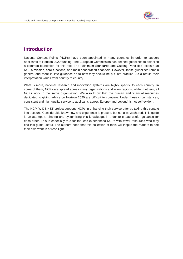

### <span id="page-6-0"></span>**Introduction**

National Contact Points (NCPs) have been appointed in many countries in order to support applicants to Horizon 2020 funding. The European Commission has defined guidelines to establish a common foundation for this role. The "Minimum Standards and Guiding Principles" explain an NCP's mission, core functions, and main cooperation channels. However, these guidelines remain general and there is little guidance as to how they should be put into practice. As a result, their interpretation varies from country to country.

What is more, national research and innovation systems are highly specific to each country. In some of them, NCPs are spread across many organisations and even regions, while in others, all NCPs work in the same organisation. We also know that the human and financial resources dedicated to giving advice on Horizon 2020 are difficult to compare. Under these circumstances, consistent and high quality service to applicants across Europe (and beyond) is not self-evident.

The NCP WIDE.NET project supports NCPs in enhancing their service offer by taking this context into account. Considerable know-how and experience is present, but not always shared. This guide is an attempt at sharing and systemising this knowledge, in order to create useful guidance for each other. This is especially true for the less experienced NCPs with fewer resources who may find this guide useful. The authors hope that this collection of tools will inspire the readers to see their own work in a fresh light.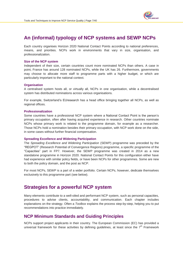

### <span id="page-7-0"></span>**An (informal) typology of NCP systems and SEWP NCPs**

Each country organises Horizon 2020 National Contact Points according to national preferences, means, and priorities. NCPs work in environments that vary in size, organisation, and professionalization.

#### **Size of the NCP system**

Independent of their size, certain countries count more nominated NCPs than others. A case in point, France has around 128 nominated NCPs, while the UK has 26. Furthermore, governments may choose to allocate more staff to programme parts with a higher budget, or which are particularly important to the national context.

#### **Organisation**

A centralised system hosts all, or virtually all, NCPs in one organisation, while a decentralised system has distributed nominations across various organisations.

For example, Switzerland's EUresearch has a head office bringing together all NCPs, as well as regional offices.

#### **Professionalization**

Some countries have a professional NCP system where a National Contact Point is the person's primary occupation, often after having acquired experience in research. Other countries nominate NCPs whose primary work is related to the programme domain, for example as a researcher. Those NCPs hold a nomination besides their primary occupation, with NCP work done on the side, in some cases without further financial compensation.

#### **Spreading Excellence and Widening Participation**

The *Spreading Excellence and Widening Participation* (SEWP) programme was preceded by the "REGPOT" (Research Potential of Convergence Regions) programme, a specific programme of the "Capacities" part in FP7. However, the SEWP programme was created in 2014 as a new standalone programme in Horizon 2020. National Contact Points for this configuration either have had experience with similar policy fields, or have been NCPs for other programmes. Some are new to both the policy domain, and the post as NCP.

For most NCPs, SEWP is a part of a wider portfolio. Certain NCPs, however, dedicate themselves exclusively to this programme part (see below).

### <span id="page-7-1"></span>**Strategies for a powerful NCP system**

Many elements contribute to a well-oiled and performant NCP system, such as personal capacities, procedures to advise clients, accountability, and communication. Each chapter includes explanations on the strategy. Often a *Toolbox* explains the process step-by-step, helping you to put recommendations into practice immediately.

#### <span id="page-7-2"></span>**NCP Minimum Standards and Guiding Principles**

NCPs support project applicants in their country. The European Commission (EC) has provided a universal framework for these activities by defining quidelines, at least since the  $7<sup>th</sup>$  Framework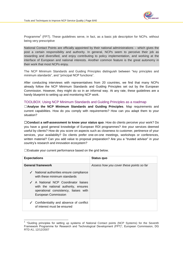

Programme<sup>1</sup> (FP7). These guidelines serve, in fact, as a basic job description for NCPs. without being very prescriptive

National Contact Points are officially appointed by their national administrations – which gives the post a certain responsibility and authority. In general, NCPs seem to perceive their job as rewarding and diversified, and enjoy contributing to policy implementation, and working at the interface of European and national interests. Another common feature is the great autonomy in their work that most NCPs enjoy.

The NCP Minimum Standards and Guiding Principles distinguish between "key principles and minimum standards", and "principal NCP functions".

After conducting interviews with representatives from 20 countries, we find that many NCPs already follow the NCP Minimum Standards and Guiding Principles set out by the European Commission. However, they might do so in an informal way. At any rate, these guidelines are a handy blueprint to setting up and monitoring NCP work.

#### TOOLBOX: Using NCP Minimum Standards and Guiding Principles as a roadmap

☐**Analyse the NCP Minimum Standards and Guiding Principles**. Map requirements and current capabilities. How do you comply with requirements? How can you adapt them to your situation?

☐**Conduct a self-assessment to know your status quo**. How do clients perceive your work? Do you have a good general knowledge of European RDI programmes? Are your services deemed useful by clients? How do you score on aspects such as closeness to customer, pertinence of your services, your availability? Do clients prefer one-on-one meetings, workshops or conferences, written material? Can you add value to proposal preparation? Are you a "trusted advisor" in your country's research and innovation ecosystem?

| <b>Expectations</b> |                                                                                                                                                     | Status quo                               |
|---------------------|-----------------------------------------------------------------------------------------------------------------------------------------------------|------------------------------------------|
|                     | <b>General framework</b>                                                                                                                            | Assess how you cover these points so far |
| ✓                   | National authorities ensure compliance<br>with these minimum standards                                                                              |                                          |
|                     | ✓ A National NCP Coordinator liaises<br>with the national authority, ensures<br>operational consistency, liaises with<br><b>European Commission</b> |                                          |
|                     | Confidentiality and absence of conflict<br>of interest must be ensured                                                                              |                                          |

□Evaluate your current performance based on the grid below.

 $\overline{a}$ 

 $1$  "Guiding principles for setting up systems of National Contact points (NCP Systems) for the Seventh Framework Programme for Research and Technological Development (FP7)", European Commission, DG RTD A1, 12/12/2007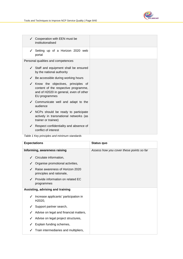

|              | $\checkmark$ Cooperation with EEN must be<br>institutionalised                                                                        |  |
|--------------|---------------------------------------------------------------------------------------------------------------------------------------|--|
| $\checkmark$ | Setting up of a Horizon 2020 web<br>portal                                                                                            |  |
|              | Personal qualities and competences                                                                                                    |  |
|              | ✓ Staff and equipment shall be ensured<br>by the national authority                                                                   |  |
|              | Be accessible during working hours                                                                                                    |  |
| $\checkmark$ | Know the objectives, principles of<br>content of the respective programme,<br>and of H2020 in general, even of other<br>EU programmes |  |
|              | Communicate well and adapt to the<br>audience                                                                                         |  |
|              | √ NCPs should be ready to participate<br>actively in transnational networks (as<br>trainer or trainee)                                |  |
|              | Respect confidentiality and absence of<br>conflict of interest                                                                        |  |

<span id="page-9-0"></span>*Table 1 Key principles and minimum standards*

|   | <b>Expectations</b>                                          | Status quo                               |
|---|--------------------------------------------------------------|------------------------------------------|
|   | Informing, awareness raising                                 | Assess how you cover these points so far |
| ✓ | Circulate information,                                       |                                          |
|   | Organise promotional activities,                             |                                          |
|   | Raise awareness of Horizon 2020<br>principles and rationale, |                                          |
|   | Provide information on related EC<br>programmes              |                                          |
|   | Assisting, advising and training                             |                                          |
| ✓ | Increase applicants' participation in<br>H2020,              |                                          |
|   | Support partner search,                                      |                                          |
|   | Advise on legal and financial matters,                       |                                          |
|   | Advise on legal project structures,                          |                                          |
|   | Explain funding schemes,                                     |                                          |
|   | Train intermediaries and multipliers,                        |                                          |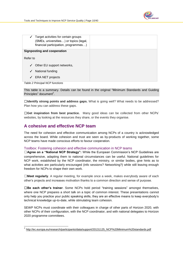

| Target activities for certain groups<br>$\checkmark$<br>(SMEs, universities) or topics (legal,<br>financial participation, programmes) |  |
|----------------------------------------------------------------------------------------------------------------------------------------|--|
| <b>Signposting and cooperation</b>                                                                                                     |  |
| Refer to                                                                                                                               |  |
| Other EU support networks,<br>✓                                                                                                        |  |
| National funding<br>✓                                                                                                                  |  |
| <b>ERA NET projects</b><br>✓                                                                                                           |  |
|                                                                                                                                        |  |

<span id="page-10-1"></span>*Table 2 Principal NCP functions*

This table is a summary. Details can be found in the original "Minimum Standards and Guiding Principles" document<sup>2</sup>.

☐**Identify strong points and address gaps.** What is going well? What needs to be addressed? Plan how you can address these gaps.

☐**Get inspiration from best practice.** Many good ideas can be collected from other NCPs' websites, by looking at the resources they share, or the events they organise.

### <span id="page-10-0"></span>**A cohesive and effective NCP team**

The need for cohesion and effective communication among NCPs of a country is acknowledged across the board. While cohesion and trust are seen as by-products of working together, some NCP teams have made conscious efforts to favour cooperation.

#### Toolbox: Fostering cohesion and effective communication in NCP teams

☐**Agree on a "National NCP Strategy":** While the European Commission's NCP Guidelines are comprehensive, adapting them to national circumstances can be useful. National guidelines for NCP work, established by the NCP coordinator, the ministry, or similar bodies, give hints as to what activities are particularly encouraged (info sessions? Networking?) while still leaving enough freedom for NCPs to shape their own work.

☐**Meet regularly**. A regular meeting, for example once a week, makes everybody aware of each other's projects and increases motivation thanks to a common direction and sense of purpose.

☐**Be each other's trainer**. Some NCPs hold period "training sessions" amongst themselves, where one NCP prepares a short talk on a topic of common interest. These presentations cannot only help you practice your public speaking skills, they are an effective means to keep everybody's technical knowledge up-to-date, while stimulating team cohesion.

SEWP NCPs must coordinate with their colleagues in charge of other parts of Horizon 2020, with other NCPs of their configuration, with the NCP coordinator, and with national delegates to Horizon 2020 programme committees.

 2 [http://ec.europa.eu/research/participants/data/support/20131125\\_NCP%20Minimum%20standards.pdf](http://ec.europa.eu/research/participants/data/support/20131125_NCP%20Minimum%20standards.pdf)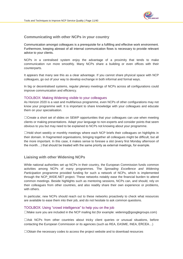

#### **Communicating with other NCPs in your country**

Communication amongst colleagues is a prerequisite for a fulfilling and effective work environment. Furthermore, keeping abreast of all internal communication flows is necessary to provide relevant advice to your clients.

NCPs in a centralised system enjoy the advantage of a proximity that tends to make communication run more smoothly. Many NCPs share a building or even offices with their counterparts.

It appears that many see this as a clear advantage. If you cannot share physical space with NCP colleagues, go out of your way to develop exchange in both informal and formal ways.

In big or decentralised systems, regular plenary meetings of NCPs across all configurations could improve communication and efficiency.

#### TOOLBOX: Making Widening visible to your colleagues

As Horizon 2020 is a vast and multifarious programme, even NCPs of other configurations may not know your programme well. It is important to share knowledge with your colleagues and educate them on your specialisation.

□Create a short set of slides on SEWP opportunities that your colleagues can use when meeting clients or making presentations. Adapt your language to non-experts and consider points that seem obvious to you but may need to be explained to NCPs not knowing about your programme.

☐Hold short weekly or monthly meetings where each NCP briefs their colleagues on highlights in their domain. In fragmented organisations, bringing together all colleagues might be difficult, but all the more important. In this case, it makes sense to foresee a slot (every first Monday afternoon of the month…) that should be treated with the same priority as external meetings, for example.

#### **Liaising with other Widening NCPs**

While national authorities set up NCPs in their country, the European Commission funds common activities among NCPs of many programmes. The *Spreading Excellence and Widening Participation* programme provided funding for such a network of NCPs, which is implemented through the NCP\_WIDE.NET project. These networks notably ease the financial burden to attend common meetings. Beside highlights such as mentoring sessions, NCPs can, and should, rely on their colleagues from other countries, and also readily share their own experience or problems, with others.

In particular, new NCPs should reach out to these networks proactively to check what resources are available to ease them into their job, and do not hesitate to ask common questions.

#### TOOLBOX: Using "crowd intelligence" to help you on the job

 $\Box$ Make sure you are included in the NCP mailing list (for example: [widening@googlegroups.com\)](mailto:widening@googlegroups.com)

 $\Box$ Ask NCPs from other countries about tricky client queries or unusual situations, before contacting the European Commission or its agencies (such as REA, EASME, INEA, ERCEA…)

☐Obtain the necessary codes to access the project website and to download resources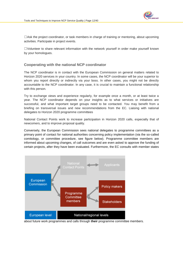

 $\Box$ Ask the project coordinator, or task members in charge of training or mentoring, about upcoming activities. Participate in project events.

☐Volunteer to share relevant information with the network yourself in order make yourself known by your homologues.

#### **Cooperating with the national NCP coordinator**

The NCP coordinator is in contact with the European Commission on general matters related to Horizon 2020 services in your country. In some cases, the NCP coordinator will be your superior to whom you report directly or indirectly via your boss. In other cases, you might not be directly accountable to the NCP coordinator. In any case, it is crucial to maintain a functional relationship with this person.

Try to exchange views and experience regularly, for example once a month, or at least twice a year. The NCP coordinator depends on your insights as to what services or initiatives are successful, and what important target groups need to be contacted. You may benefit from a briefing on transversal issues and new recommendations from the EC. Liaising with national delegates to Horizon 2020 programme committees

National Contact Points work to increase participation in Horizon 2020 calls, especially that of newcomers, and to improve proposal quality.

Conversely, the European Commission sees national delegates to programme committees as a primary point of contact for national authorities concerning policy implementation (via the so-called comitology, or committee procedure, see figure below). Programme committee members are informed about upcoming changes, of call outcomes and are even asked to approve the funding of certain projects, after they have been evaluated. Furthermore, the EC consults with member states



about future work programmes and calls through **their** programme committee members.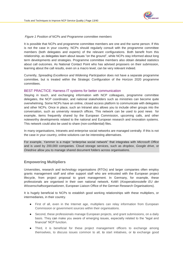

#### <span id="page-13-0"></span>*Figure 1 Position of NCPs and Programme committee members*

It is possible that NCPs and programme committee members are one and the same person. If this is not the case in your country, NCPs should regularly consult with the programme committee members (both delegates and experts) of the relevant configurations. Both benefit from this relationship, as delegates learn about issues "on the ground", while NCPs stay informed about long term developments and strategies. Programme committee members also obtain detailed statistics about call outcomes. As National Contact Point who has advised proposers on their submission, learning about the call results, even on a macro level, can be very relevant indeed.

Currently, *Spreading Excellence and Widening Participation* does not have a separate programme committee, but is treated within the Strategic Configuration of the Horizon 2020 programme committees.

#### BEST PRACTICE: Harness IT systems for better communication

Staying in touch, and exchanging information with NCP colleagues, programme committee delegates, the NCP coordinator, and national stakeholders such as ministries can become quite overwhelming. Some NCPs have an online, closed access platform to communicate with delegates and other NCPs. Once in place, such an Intranet also allows you to include other groups into the conversation, such as university research offices. This network can be used to post news for example, items frequently shared by the European Commission, upcoming calls, and other noteworthy developments related to the national and European research and innovation systems. This network could also be used to share (non-confidential) files.

In many organisations, Intranets and enterprise social networks are managed centrally. If this is not the case in your country, online solutions can be interesting alternatives.

For example, *Yammer* is a major "enterprise social network" that integrates with *Microsoft Office* and is used by 200,000 companies. Cloud storage services, such as *dropbox*, *Google drive*, or *Onedrive* allow you to manage shared document folders across organisations.

#### **Empowering Multipliers**

Universities, research and technology organisations (RTOs) and larger companies often employ grants management staff and other support staff who are entrusted with the European project lifecycle, from project proposal to grant management. In Germany, for example, these professionals are organised in their own national network, KoWi (*Kooperationsstelle EU der Wissenschaftsorganisationen*, European Liaison Office of the German Research Organisations).

It is hugely beneficial to NCPs to establish good working relationships with these multipliers, or intermediaries, in their country.

- First of all, even in the Internet age, multipliers can relay information from European Commission or government sources within their organisations.
- Second, these professionals manage European projects, and grant submissions, on a daily basis. They can make you aware of emerging issues, especially related to the "legal and financial" NCP function.
- Third, it is beneficial for these project management officers to exchange among themselves, to discuss issues common to all, to start initiatives, or to exchange good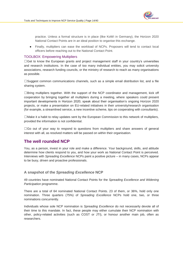

practice. Unless a formal structure is in place (like KoWi in Germany), the Horizon 2020 National Contact Points are in an ideal position to organise this exchange.

● Finally, multipliers can ease the workload of NCPs. Proposers will tend to contact local officers before reaching out to the National Contact Point.

#### TOOLBOX: Empowering Multipliers

 $\Box$ Get to know the European grants and project management staff in your country's universities and research institutions. In the case of too many individual entities, you may solicit university associations, research funding councils, or the ministry of research to reach as many organisations as possible.

□Suggest common communications channels, such as a simple email distribution list, and a file sharing system.

 $\Box$ Bring multipliers together. With the support of the NCP coordinator and management, kick off cooperation by bringing together all multipliers during a meeting, where speakers could present important developments in Horizon 2020, speak about their organisation's ongoing Horizon 2020 projects, or make a presentation on EU-related initiatives in their university/research organisation (for example, a streamlined service, a new incentive scheme, tips on cooperating with consultants).

☐Make it a habit to relay updates sent by the European Commission to this network of multipliers, provided the information is not confidential.

 $\square$ Go out of your way to respond to questions from multipliers and share answers of general interest with all, as resolved matters will be passed on within their organisation.

### <span id="page-14-0"></span>**The well rounded NCP**

You, as a person, invest in your role and make a difference. Your background, skills, and attitude determine how clients respond to you, and how your work as National Contact Point is perceived. Interviews with *Spreading Excellence* NCPs paint a positive picture – in many cases, NCPs appear to be busy, driven and proactive professionals.

#### **A snapshot of the** *Spreading Excellence* **NCP**

49 countries have nominated National Contact Points for the *Spreading Excellence and Widening Participation* programme.

There are a total of 64 nominated National Contact Points. 23 of them, or 36%, hold only one nomination. Three quarters (75%) of *Spreading Excellence* NCPs hold one, two, or three nominations concurrently.

Individuals whose sole NCP nomination is *Spreading Excellence* do not necessarily devote all of their time to this mandate. In fact, these people may either cumulate their NCP nomination with other, policy-related activities (such as COST or JTI), or honour another main job, often as researchers.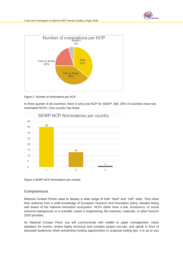



<span id="page-15-0"></span>*Figure 2 Number of nominations per NCP*

In three quarter of all countries, there is only one NCP for SEWP. Still, 26% of countries have two nominated NCPs. One country has three.



<span id="page-15-1"></span>*Figure 3 SEWP NCP Nominations per country*

#### **Competences**

National Contact Points need to display a wide range of both "hard" and "soft" skills. They draw their authority from a solid knowledge of European research and innovation policy, besides being well aware of the national innovation ecosystem. NCPs either have a law, economics, or social sciences background, or a scientific career in engineering, life sciences, materials, or other Horizon 2020 priorities.

As National Contact Point, you will communicate with middle to upper management, solicit speakers for events, review highly technical and complex project set-ups, and speak in front of educated audiences when presenting funding opportunities or proposal writing tips. It is up to you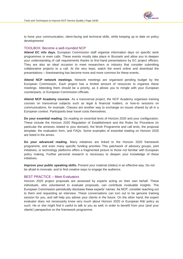

to hone your communication, client-facing and technical skills, while keeping up to date on policy developments!

#### TOOLBOX: Become a well-rounded NCP

**Attend EC info days.** European Commission staff organise information days on specific work programmes or even calls. These events mostly take place in Brussels and allow you to deepen your understanding of call requirements thanks to first-hand presentations by EC project officers. They are also an ideal occasion to meet researchers or industry that consider submitting collaborative projects to a call. At the very least, watch the event online and download the presentations – livestreaming has become more and more common for these events.

**Attend NCP network meetings**. Network meetings are organised pending budget by the European Commission. Each project has a limited amount of resources to organise these meetings. Attending them should be a priority, as it allows you to mingle with your European counterparts, or European Commission officials.

**Attend NCP Academy courses**. As a transversal project, the NCP Academy organises training courses on transversal subjects such as legal & financial matters, or how-to sessions on communications, for example. Classes are another way to exchange on issues shared by all in a European context. Participants bear travel costs themselves.

**Do your essential reading**. Do reading on essential texts of Horizon 2020 and your configuration. These include the Horizon 2020 Regulation of Establishment and the Rules for Procedure (in particular the annexes related to your domain), the Work Programme and call texts, the proposal template, the evaluation form, and FAQs. Some examples of essential reading on Horizon 2020 are listed in the annex.

**Do your advanced reading.** Many initiatives are linked to the Horizon 2020 framework programme, and even many specific funding priorities This patchwork of advisory groups, joint initiatives, or technology platforms offers a fragmented picture to those not familiar with European policy making. Further personal research is necessary to deepen your knowledge of these initiatives.

**Improve your public speaking skills.** Present your material (slides) in an effective way. Do not be afraid to innovate, and to find creative ways to engage the audience.

#### BEST PRACTICE – Meet Evaluators

Horizon 2020 project proposals are assessed by experts acting on their own behalf. These individuals, who volunteered to evaluate proposals, can contribute invaluable insights. The European Commission periodically discloses these experts' names. As NCP, consider reaching out to them and requesting an interview. These conversations can turn out to be genuine training session for you, and will help you advise your clients in the future. On the other hand, the expert evaluator does not necessarily know very much about Horizon 2020 or European R&I policy as such. He or she might find it useful to talk to you as well, in order to benefit from your (and your clients') perspective on the framework programme.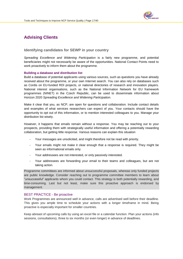

### <span id="page-17-0"></span>**Advising Clients**

#### **Identifying candidates for SEWP in your country**

*Spreading Excellence and Widening Participation* is a fairly new programme, and potential beneficiaries might not necessarily be aware of the opportunities. National Contact Points need to work proactively to inform them about the programme.

#### **Building a database and distribution list**

Build a database of potential applicants using various sources, such as questions you have already received about the programme, or your own Internet search. You can also rely on databases such as Cordis on EU-funded RDI projects, or national directories of research and innovation players. National interest organisations, such as the National Information Network for EU framework programmes (NINET) in the Czech Republic, can be used to disseminate information about Horizon 2020 *Spreading Excellence and Widening Participation*.

Make it clear that you, as NCP, are open for questions and collaboration. Include contact details and examples of what services researchers can expect of you. Your contacts should have the opportunity to opt out of this information, or to mention interested colleagues to you. Manage your distribution list wisely.

However, it happens that emails remain without a response. You may be reaching out to your prospects, providing them with strategically useful information and offering a potentially rewarding collaboration, but getting little response. Various reasons can explain this situation

- Your messages are unsolicited, and might therefore not be read with priority.
- Your emails might not make it clear enough that a response is required. They might be seen as informational emails only.
- Your addressees are not interested, or only passively interested.
- Your addressees are forwarding your email to their teams and colleagues, but are not taking action.

Programme committees are informed about unsuccessful proposals, whereas only funded projects are public knowledge. Consider reaching out to programme committee members to learn about "unsuccessful" applicants whom you could contact. This strategy is both potentially rewarding, and time-consuming. Last but not least, make sure this proactive approach is endorsed by management.

#### BEST PRACTICE - Be proactive

Work Programmes are announced well in advance, calls are advertised well before their deadline. This gives you ample time to schedule your actions with a longer timeframe in mind. Being proactive is especially important for smaller countries.

Keep abreast of upcoming calls by using an excel file or a calendar function. Plan your actions (info sessions, consultations), three to six months (or even longer) in advance of deadlines.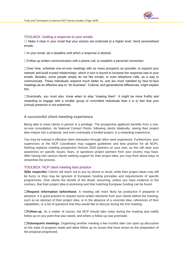

#### TOOLBOX: Getting a response to your emails

 $\Box$  Make it clear in your email that your actions are endorsed at a higher level. Send personalised emails.

 $\Box$ In your email, set a deadline until which a response is desired.

 $\square$ Follow up written communication with a phone call, to establish a personal connection

☐Over time, schedule one-on-one meetings with as many prospects as possible, to expand your network and build trusted relationships, which in turn is bound to increase the response rate to your emails. Besides, some people simply do not like emails, or even telephone calls, as a way to communicate. These individuals respond much better to, and are more satisfied by face-to-face meetings as an effective way to "do business". Cultural, and generational differences, might explain this.

☐Eventually, you must also know when to stop "chasing them". It might be more fruitful and rewarding to engage with a smaller group of committed individuals than it is to feel that your (virtual) presence is not esteemed.

#### **A successful client meeting experience**

Being able to meet clients in person is a privilege. The prospective applicant benefits from a oneon-one consultation. As National Contact Points, following clients bilaterally, seeing their project idea mature into a proposal, and even eventually a funded project, is a rewarding experience.

You may be trained in effective client interaction through other work experience. Furthermore, your supervisors or the NCP Coordinator may suggest guidelines and best practice for all NCPs. Nothing replaces meeting prospective Horizon 2020 partners on your own, as this will raise your awareness on specific issues, fears, or questions project partners from your country may have. After having met various clients seeking support for their project idea, you may think about ways to streamline the process.

#### TOOLBOX: NCP client meeting best practice

☒**Be respectful**. Clients will reach out to you by phone or email, while their project ideas may still be fuzzy or they may be ignorant of European funding principles and requirements of specific programmes. Give clients the benefit of the doubt, assuming, unless you have evidence to the contrary, that their project idea is promising and that matching European funding can be found.

☐**Request information beforehand**. A meeting will more likely be productive if prepared in advance. It is good practice to request some written elements from your clients before the meeting, such as an abstract of their project idea, or in the absence of a concrete idea, references of their capabilities, or a list of questions that they would like to discuss during the first meeting.

☐**Follow-up.** As a matter of course, the NCP should take notes during the meeting and swiftly follow up on any point that was raised, and where a follow-up was promised.

☐**Subsequent meetings.** Organising another meeting a few months later can open up discussion on the state of progress made and allow follow up on issues that have arisen as the preparation of the proposal progressed.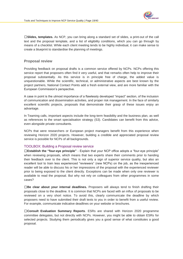

☐**Slides, templates.** As NCP, you can bring along a standard set of slides, a print-out of the call text and the proposal template, and a list of eligibility conditions, which you can go through by means of a checklist. While each client meeting tends to be highly individual, it can make sense to create a blueprint to standardise the planning of meetings.

#### **Proposal review**

Providing feedback on proposal drafts is a common service offered by NCPs. NCPs offering this service report that proposers often find it very useful, and that remarks often help to improve their proposal substantially. As this service is in principle free of charge, the added value is unquestionable. While the scientific, technical, or administrative aspects are best known by the project partners, National Contact Points add a fresh external view, and are more familiar with the European Commission's perspective.

A case in point is the utmost importance of a flawlessly developed "impact" section, of the inclusion of communication and dissemination activities, and proper risk management. In the face of similarly excellent scientific projects, proposals that demonstrate their grasp of these issues enjoy an advantage.

In Teaming calls, important aspects include the long-term feasibility and the business plan, as well as references to the smart specialisation strategy (S3). Candidates can benefit from this advice, even alongside private consultants.

NCPs that were researchers or European project managers benefit from this experience when reviewing Horizon 2020 projects. However, building a credible and appreciated proposal review service is possible for NCPs of all backgrounds.

#### TOOLBOX: Building a Proposal review service

☐**Establish the "four-eye principle"** - Explain that your NCP office adopts a "four-eye principle" when reviewing proposals, which means that two experts share their comments prior to handing their feedback over to the client. This is not only a sign of superior service quality, but also an excellent tool to train less experienced "reviewers" (new NCPs) on the job, as the inexperienced reader will be able to discuss his or her impressions of the proposal with the experienced reviewer prior to being exposed to the client directly. Exceptions can be made when only one reviewer is available to read the proposal. But why not rely on colleagues from other programmes in some cases?

☐**Be clear about your internal deadlines.** Proposers will always tend to finish drafting their proposals close to the deadline. It is common that NCPs are faced with an influx of proposals to be reviewed on a very short notice. To avoid this, clearly communicate the deadline by which proposers need to have submitted their draft texts to you in order to benefit from a useful review. For example, communicate indicative deadlines on your website or brochures.

☐**Consult Evaluation Summary Reports**. ESRs are shared with Horizon 2020 programme committee delegates, but not directly with NCPs. However, you might be able to obtain ESRs for selected projects. Studying them periodically gives you a good sense of what constitutes a good proposal.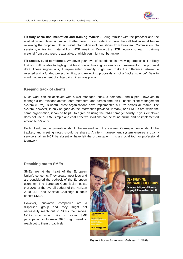

☐**Study basic documentation and training material.** Being familiar with the proposal and the evaluation templates is crucial. Furthermore, it is important to have the call text in mind before reviewing the proposal. Other useful information includes slides from European Commission info sessions, or training material from NCP meetings. Contact the NCP network to learn if training material from past years is available, of which you might not be aware.

☐**Practice, build confidence**. Whatever your level of experience in reviewing proposals, it is likely that you will be able to highlight at least one or two suggestions for improvement in the proposal draft. These suggestions, if implemented correctly, might well make the difference between a rejected and a funded project. Writing, and reviewing, proposals is not a "rocket science". Bear in mind that an element of subjectivity will always prevail.

#### **Keeping track of clients**

Much work can be achieved with a well-managed inbox, a notebook, and a pen. However, to manage client relations across team members, and across time, an IT-based client management system (CRM), is useful. Most organisations have implemented a CRM across all teams. The system, however, is only as good as the information provided. If many, or all NCPs are within the same organisation, it can be helpful to agree on using the CRM homogeneously. If your employer does not use a CRM, simple and cost-effective solutions can be found online and be implemented among NCPs only.

Each client, and organisation should be entered into the system. Correspondence should be tracked, and meeting notes should be shared. A client management system ensures a quality service shall an NCP be absent or have left the organisation. It is a crucial tool for professional teamwork.

#### **Reaching out to SMEs**

SMEs are at the heart of the European Union's concerns. They create most jobs and are considered the bedrock of the European economy. The European Commission insists that 20% of the overall budget of the Horizon 2020 LEIT and Societal Challenge budgets benefit SMEs.

However, innovative companies are a dispersed group and they might not necessarily reach out to NCPs themselves. NCPs who would like to foster SME participation in Horizon 2020 might need to reach out to them proactively.



*Figure 4 Poster for an event dedicated to SMEs*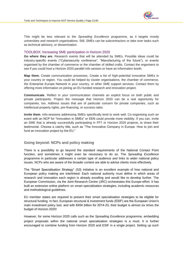

This might be less relevant to the *Spreading Excellence* programme, as it targets mostly universities and research organisations. Still, SMEs can be subcontractors or take over tasks such as technical advisory, or dissemination.

#### TOOLBOX: Increasing SME participation in Horizon 2020

**Go where they are.** Research events that will be attended by SMEs. Possible ideas could be industry-specific events ("Cybersecurity conference", "Manufacturing of the future"), or events organised by the chamber of commerce or the chamber of skilled crafts. Contact the organisers to see if you could host a Horizon 2020 parallel info session or have an information booth.

**Map them.** Create communication processes. Create a list of high-potential innovative SMEs in your country or region. You could be helped by cluster organisations, the chamber of commerce, the Enterprise Europe Network in your country, or other SME support services. Contact them by offering more information on joining an EU-funded research and innovation project.

**Communicate**. Reflect in your communication channels an explicit focus on both public and private participants. Project the message that Horizon 2020 can be a real opportunity for companies, too. Address issues that are of particular concern for private companies, such as intellectual property rights, pre-financing, or success rates.

**Invite them**. Info-sessions addressing SMEs specifically tend to work well. Co-organising such an event with an NCP for "Innovation in SMEs" or EEN could provide more visibility. If you can, invite an SME that is already successfully participating in FP7 or Horizon 2020 projects, to share their testimonial. Choose a catchy title, such as "The Innovative Company in Europe. How to join and fund an innovation project by the EU."

#### **Going beyond: NCPs and policy making**

There is a possibility to go beyond the standard requirements of the National Contact Point function, and sometimes it might even be necessary to do so. The *Spreading Excellence* programme in particular addresses a certain type of audience and links to wider national policy issues. NCPs who are aware of the broader context are able to advise clients more effectively.

The "Smart Specialisation Strategy" (S3) initiative is an excellent example of how national and European policy making are interlinked. Each national authority must define in which areas of research and innovation each region is already excelling and would like to develop further. The European Commission, via the Joint Research Centre (JRC) orchestrates this Europe-effort. It has built an extensive online platform on smart specialisation strategies, including academic resources and methodological guidelines.

EU member states are required to present their smart specialisation strategies to be eligible for structural funding. In fact, European structural & investment funds (ESIF) are the European Union's main investment policy tool, and with €454 billion for 2014-20, their budget is almost six times the budget of Horizon 2020!

project proposals within the national smart specialisation strategies is a must. It is further encouraged to combine funding from Horizon 2020 and ESIF in a single project. Setting up such However, for some Horizon 2020 calls such as the *Spreading Excellence* programme, embedding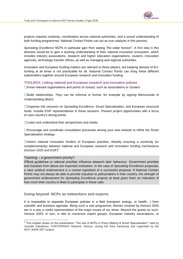

projects requires creativity, coordination across national authorities, and a sound understanding of both funding programmes. National Contact Points can act as true catalysts in this process.

*Spreading Excellence* NCPs in particular gain from seeing "the wider horizon". A first step in this direction would be to gain a working understanding of their national innovation ecosystem, which includes industry associations, research and higher education organisations, clusters, innovation agencies, technology transfer offices, as well as managing and regional authorities.

Innovation and European funding matters are relevant to these players, but keeping abreast of EUfunding at all times is not practicable for all. National Contact Points can bring these different stakeholders together around European research and innovation funding.

#### TOOLBOX: Linking national and European research and innovation policies

 $\Box$ Know relevant organisations and points of contact, such as associations or clusters

 $\square$ Build relationships. They can be informal or formal, for example by signing Memoranda of Understanding (MoU)

☐Organise info sessions on *Spreading Excellence*, Smart Specialisation, and European structural funds. Include ESIF representatives in these sessions. Present project opportunities with a focus on your country's strong points.

☐Listen and understand their perspectives and needs.

☐Encourage and coordinate consultation processes among your new network to refine the Smart Specialisation strategy

☐Inform national innovation funders of European priorities, thereby ensuring a continuity (or complementarity) between national and European research and innovation funding mechanisms (Horizon 2020 and  $ESIF)^3$ .

#### Teaming – a government priority?

Official guidelines or national priorities influence research labs' behaviour. Government priorities and impulses from above are important motivators. In the case of *Spreading Excellence* proposals, a clear political endorsement is a central ingredient of a successful proposal. If National Contact Points may not always be able to provide impulses to policymakers in their country, the strength of government endorsement for *Spreading Excellence* projects at least gives them an indication of how much their country is likely to participate in these calls.

#### **Going beyond: NCPs as networkers and experts**

It is impossible to separate European policies in a field (transport, energy, or health…) from scientific and business agendas. Being such a vast programme, themes covered by Horizon 2020 are in a way a useful representation of the major issues of our times. Beyond the grants as such, Horizon 2020, in turn, is tied to numerous expert groups, European industry associations, or

 3 This chapter draws on the presentation "The role of NCPs in Policy Making & Smart Specialisation", held by Vassiliki Kalodimou, FORTH/PRAXI Network, Greece, during the third mentoring visit organised by the NCP\_WIDE.NET project.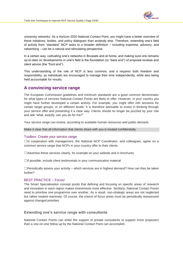

university networks. As a Horizon 2020 National Contact Point, you might have a better overview of these initiatives, bodies, and policy dialogues than anybody else. Therefore, extending one's field of activity from "standard" NCP tasks to a broader definition – including expertise, advisory, and networking – can be a natural and stimulating perspective.

In a certain way, cultivating one's networks in Brussels and at home, and making sure one remains up-to-date on developments in one's field is the foundation (or "back end") of proposal reviews and client advice (the "front end").

This understanding of the role of NCP is less common, and it requires both freedom and responsibility, as individuals are encouraged to manage their time independently, while also being held accountable for results.

### <span id="page-23-0"></span>**A convincing service range**

The European Commission guidelines and minimum standards are a good common denominator for what types of services National Contact Points are likely to offer. However, in your country you might have further developed a certain activity. For example, you might offer info sessions for certain target groups, or on different levels. It is therefore advisable to invest in thinking through your service offer and presenting it a clear way. Clients should no longer be puzzled by your role and ask "what, exactly, can you do for me?"

Your service range can evolve, according to available human resources and public demand.

Make it clear that all information that clients share with you is treated confidentially.

#### Toolbox: Create your service range

 $\Box$ In cooperation with management, the National NCP Coordinator, and colleagues, agree on a common service range that NCPs in your country offer to their clients

☐Advertise these services clearly, for example on your website and in brochures

☐If possible, include client testimonials in your communication material

 $\Box$ Periodically assess your activity – which services are in highest demand? How can they be taken further?

#### BEST PRACTICE – Focus!

The Smart Specialisation concept posits that defining and focusing on specific areas of research and innovation in each region makes investments more effective. Similarly, National Contact Points need to prioritise one programme over another. As a result, non-strategic areas are not neglected but rather treated reactively. Of course, the choice of focus areas must be periodically reassessed against changed priorities.

#### **Extending one's service range with consultants**

National Contact Points can enlist the support of private consultants to support more proposers than a one-on-one follow up by the National Contact Point can accomplish.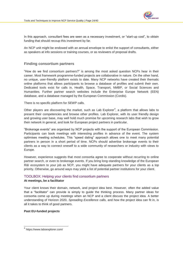

In this approach, consultant fees are seen as a necessary investment, or "start-up cost", to obtain funding that should recoup this investment by far.

An NCP unit might be endowed with an annual envelope to enlist the support of consultants, either as speakers at info sessions or training courses, or as reviewers of proposal drafts.

#### **Finding consortium partners**

"How do we find consortium partners?" is among the most asked question NCPs hear in their career. Most framework programme-funded projects are collaborative in nature. On the other hand, no unique, user-friendly platform exists to date. Many NCP networks have created their thematic online platforms that allows participants to browse a database of profiles and submit their own. Dedicated tools exist for calls in, Health, Space, Transport, NMBP, or Social Sciences and Humanities. Further partner search websites include the Enterprise Europe Network (EEN) database, and a database managed by the European Commission (Cordis).

There is no specific platform for SEWP calls.

Other players are discovering the market, such as Lab Explorer<sup>4</sup>, a platform that allows labs to present their competencies and browse other profiles. Lab Explorer, with its user friendly design and growing user base, may well hold much promise for upcoming research labs that wish to grow their network in general, and look for European project partners in particular.

"Brokerage events" are organised by NCP projects with the support of the European Commission. Participants can book meetings with interesting profiles in advance of the event. The system optimises meeting schedules. This "speed dating" approach allows one to meet many potential partners in person in a short period of time. NCPs should advertise brokerage events to their clients as a way to connect oneself to a wide community of researchers or industry with views to Europe.

However, experience suggests that most consortia agree to cooperate without recurring to online partner search, or even to brokerage events. If you bring long-standing knowledge of the European R&I ecosystem to your job as NCP, you might have adequate partners for your clients as a top priority. Otherwise, go around ways may yield a list of potential partner institutions for your client.

#### TOOLBOX: Helping your clients find consortium partners

#### **At meetings, be a facilitator**

Your client knows their domain, network, and project idea best. However, often the added value that a "facilitator" can provide is simply to guide the thinking process. Many partner ideas for consortia come up during meetings when an NCP and a client discuss the project idea. A better understanding of Horizon 2020, *Spreading Excellence* calls, and how the project idea can fit in, is all it takes to think of good partners.

#### **Past EU-funded projects**

 $\overline{\phantom{a}}$ 

<sup>4</sup> https://www.labsexplorer.com/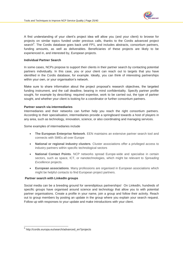

A first understanding of your client's project idea will allow you (and your client) to browse for projects on similar topics funded under previous calls, thanks to the Cordis advanced project search<sup>5</sup>. The Cordis database goes back until FP1, and includes abstracts, consortium partners, funding amounts, as well as deliverables. Beneficiaries of these projects are likely to be experienced in, and interested by, European projects.

#### **Individual Partner Search**

In some cases, NCPs propose to support their clients in their partner search by contacting potential partners individually. In this case, you or your client can reach out to targets that you have identified in the Cordis database, for example. Ideally, you can think of interesting partnerships within your own, or your organisation's network.

Make sure to share information about the project proposal's research objectives, the targeted funding instrument, and the call deadline, bearing in mind confidentiality. Specify partner profile sought, for example by describing: required expertise, work to be carried out, the type of partner sought, and whether your client is looking for a coordinator or further consortium partners.

#### **Partner search via intermediaries**

Intermediaries and their networks can further help you reach the right consortium partners. According to their specialisation, intermediaries provide a springboard towards a host of players in any area, such as technology, innovation, science, or also coordinating and managing services.

Some examples of intermediaries include

- **The European Enterprise Network**. EEN maintains an extensive partner search tool and connects with SMEs all over Europe
- **National or regional industry clusters**. Cluster associations offer a privileged access to industry partners within specific technological sectors
- **National Contact Points**. NCP networks spread Europe-wide and specialise in certain sectors, such as space, ICT, or nanotechnologies, which might be relevant to *Spreading Excellence* projects.
- **European associations**. Many professions are organised in European associations which might be helpful contacts to find European project partners.

#### **Partner search with LinkedIn groups**

Social media can be a breeding ground for serendipitous partnerships! On LinkedIn, hundreds of specific groups have organised around science and technology that allow you to with potential partner organisations. Create a profile in your name, join a group and follow their activity. Reach out to group members by posting an update in the group where you explain your search request. Follow up with responses to your update and make introductions with your client.

 5 http://cordis.europa.eu/search/advanced\_en?projects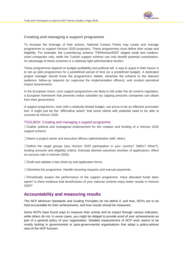

#### **Creating and managing a support programme**

To increase the leverage of their actions, National Contact Points may create and manage programmes to support Horizon 2020 proposers. These programmes must define their scope and eligibility. For example, the Luxembourg scheme "Fit4Horizon2020" targets small and mediumsized companies only, while the Turkish support scheme can only benefit potential coordinators. An advantage of these schemes is a relatively light administrative burden.

These programmes depend on budget availability and political will. A way to argue in their favour is to set up pilot programmes for a predefined period of time (or a predefined budget). A dedicated project manager should know the programme's details, advertise the scheme to the relevant audience, follow-up requests (or supervise the implementation officers), and conduct periodical impact assessments.

In the European Union, such support programmes are likely to fall under the *de minimis* regulation, a European framework that prevents undue subsidies by capping amounts companies can obtain from their government.

A support programme, even with a relatively limited budget, can prove to be an effective promotion tool. It might just be the "affirmative action" that some clients with potential need to be able to succeed at Horizon 2020.

#### TOOLBOX: Creating and managing a support programme

☐Gather political and managerial endorsement for the creation and funding of a Horizon 2020 support scheme

☐Name a project owner and executive officers (administrative staff, other).

☐Define the target groups (any Horizon 2020 participation in your country? SMEs? Other?), funding amounts and eligibility criteria. Estimate desired outcomes (number of applications, effect on success rate in Horizon 2020).

☐Draft and validate a fact sheet by and application forms.

☐Advertise the programme. Handle incoming requests and execute payments.

☐Periodically assess the performance of the support programme. Have allocated funds been spent? Is there evidence that beneficiaries of your national scheme enjoy better results in Horizon 2020?

### <span id="page-26-0"></span>**Accountability and measuring results**

The NCP Minimum Standards and Guiding Principles do not define if, and how, NCPs are to be held accountable for their achievements, and how results should be measured.

Some NCPs have found ways to measure their activity and its impact through various indicators, while others do not. In some cases, you might be obliged to provide proof of your achievements as part of a general policy of your organisation. Detailed measurement of NCP work seems to be mostly lacking in governmental or para-governmental organisations that adopt a policy-advisor view of the NCP function.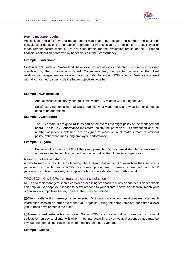

#### **How to measure results**

An "obligation of effort" type of measurement would take into account the number and quality of consultations done, or the number of attendees of info sessions. An "obligation of result" type of measurement occurs when NCPs are accountable for the evaluation result, or the European financial contribution perceived by beneficiaries in their constituency.

#### **Example: Switzerland**

Certain NCPs, such as Switzerland, have external evaluations conducted by a service provider mandated by the organisation's board. Consultants may be granted access to the client relationship management software and are mandated to contact NCPs' clients. Results are shared with all concerned parties to define future objectives together.

#### **Example: NCP Brussels**

- Annual satisfaction survey sent to clients whom NCPs dealt with during the year
- Satisfactory response rate; allows to identify what works best, and what further demands need to be addressed

#### **Example: Luxembourg**

The NCP team is assigned KPIs as part of the overall oversight policy of the management board. These Key Performance Indicators, chiefly the perceived EU contribution and the number of projects obtained, are designed to measure what matters most to national policy, rather than measuring employee performance

#### **Example: Bulgaria**

Bulgaria introduced a "NCP of the year" prize. NCPs, who are distributed across many organisations, benefit from added recognition rather than financial compensation.

#### **Measuring client satisfaction**

A way to measure results is by learning about client satisfaction. To know how their service is perceived by clients, some NCPs use formal procedures to measure feedback and NCP performance, while others rely on simpler methods or no standardised method at all.

#### TOOLBOX: How NCPs can measure client satisfaction

NCPs and their managers should consider processing feedback in a way or another. This feedback can help you to adapt your service to better respond to your clients' needs, and thereby reach your organisation's objectives better, however they may be defined.

☐**Client satisfaction surveys after events**: Distribute satisfaction questionnaires after each information session or larger event that you organise. Using the same template each time allows you to track developments over time.

☐**Annual client satisfaction surveys**: Some NCPs, such as in Belgium, send out an annual satisfaction survey to clients with whom they interacted in a given year. Response rates may be low, but the periodic approach allows to measure changes over time.

#### **Example: Greece**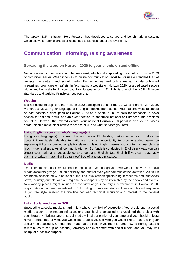

The Greek NCP institution, Help-Forward, has developed a survey and benchmarking system, which allows to track changes of responses to identical questions over time.

### <span id="page-28-0"></span>**Communication: informing, raising awareness**

#### **Spreading the word on Horizon 2020 to your clients on and offline**

Nowadays many communication channels exist, which make spreading the word on Horizon 2020 opportunities easier. When it comes to online communication, most NCPs use a standard triad of website, newsletter, and social media. Further online and offline media include published magazines, brochures or leaflets. In fact, having a website on Horizon 2020, or a dedicated section within another website, in your country's language or in English, is one of the NCP Minimum Standards and Guiding Principles requirements.

#### **Website**

It is not useful to duplicate the Horizon 2020 participant portal or the EC website on Horizon 2020. A short overview, in your language or in English, makes more sense. Your national website should at least contain a description of Horizon 2020 as a whole, a link to calls for proposals, a news section for national news, and an event section to announce national or European info sessions and other Horizon 2020 related events. Your national Horizon 2020 portal is also your business card: It should make clear how to reach the NCP and what services you offer.

#### **Using English or your country's language(s)?**

Using your language(s) to spread the word about EU funding makes sense, as it makes the content immediately relatable to nationals. It is an opportunity to provide added value, by explaining EU terms beyond simple translations. Using English makes your content accessible to a much wider audience. As all communication on EU funds is conducted in English anyway, you can expect your national target audience to understand English. Use English if you can reasonably claim that written material will be (almost) free of language mistakes.

#### **Media**

Traditional media outlets should not be neglected, even though your own website, news, and social media accounts give you much flexibility and control over your communication activities. As NCPs are mostly associated with national authorities, publications specialising in research and innovation news, industry journals, or even regional newspapers may be interested by their news and events. Newsworthy pieces might include an overview of your country's performance in Horizon 2020, major national conferences related to EU funding, or success stories. These articles will require a jargon-free style, walking the fine line between technical accuracy and interest to the general public.

#### **Using Social media as an NCP**

Succeeding at social media is hard. It is a whole new field of occupation! You should open a social media account after mature reflexion, and after having consulted and validated the project with your hierarchy. Taking care of social media will take a portion of your time and you should at least have a broad idea of what you would like to achieve, and who you would like to reach, with your social media account. On the other hand, as the initial investment is rather low (it literally takes a few minutes to set up an account), anybody can experiment with social media, and you may well be up for a positive surprise.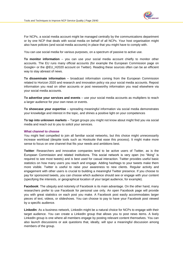

For NCPs, a social media account might be managed centrally by the communications department or by one NCP that deals with social media on behalf of all NCPs. Your host organisation might also have policies (and social media accounts) in place that you might have to comply with.

You can use social media for various purposes, on a spectrum of passive to active use.

**To monitor information** – you can use your social media account chiefly to monitor other accounts. The EU runs many official accounts (for example the European Commission page on Google+ or the @EU\_H2020 account on Twitter). Reading these sources often can be an efficient way to stay abreast of news.

**To disseminate information** – broadcast information coming from the European Commission related to Horizon 2020 and research and innovation policy via your social media accounts. Repost information you read on other accounts or post newsworthy information you read elsewhere via your social media accounts.

**To advertise your services and events** – use your social media accounts as multipliers to reach a larger audience for your own news or events.

**To showcase your expertise** – spreading meaningful information via social media demonstrates your knowledge and interest in the topic, and shines a positive light on your competences

**To tap into unknown markets** – Target groups you might not know about might find you via social media and reach out to you to solicit your services.

#### **What channel to choose**

You might feel compelled to join all familiar social networks, but this choice might unnecessarily increase workload (despite tools such as Hootsuite that ease this process). It might make more sense to focus on one channel that fits your needs and ambitions best.

**Twitter**: Researchers and innovative companies tend to be active users of Twitter, as is the European Commission and related institutions. This social network is very open (no "liking" is required to see most tweets) and is best used for casual interaction. Twitter provides useful basic statistics on how many users you reach and engage. Adding hashtags to your tweets make them more visible. Twitter is useful to raise your awareness to new clients. Regular activity and engagement with other users is crucial to building a meaningful Twitter presence. If you choose to pay for sponsored tweets, you can choose which audience should see or engage with your content (specifying the interests, or geographical location of your target audience, for example).

**Facebook**: The ubiquity and notoriety of Facebook is its main advantage. On the other hand, many researchers prefer to use Facebook for personal use only. An open Facebook page will provide you with great statistics on each post you make. A Facebook post easily accommodates larger pieces of text, videos, or slideshows. You can choose to pay to have your Facebook post viewed by a specific audience.

LinkedIn: As a business network, LinkedIn might be a natural choice for NCPs to engage with their target audience. You can create a LinkedIn group that allows you to post news items. A lively LinkedIn group is one where all members engage by posting relevant content themselves. You can also launch discussions or ask questions that, ideally, will spur a meaningful discussion among members of the group.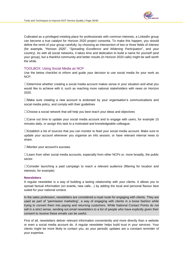

Cultivated as a privileged meeting place for professionals with common interests, a LinkedIn group can become a true catalyst for Horizon 2020 project consortia. To make this happen, you should define the remit of your group carefully, by choosing an intersection of two or three fields of interest (for example, "Horizon 2020", "*Spreading Excellence and Widening Participation*", and your country). As with all social networks, it takes time and dedication to build a name for yourself (and your group), but a thankful community and better results (in Horizon 2020 calls) might be well worth the while.

#### TOOLBOX: Using Social Media as NCP

Use the below checklist to inform and guide your decision to use social media for your work as NCP.

☐Determine whether creating a social media account makes sense in your situation and what you would like to achieve with it, such as reaching more national stakeholders with news on Horizon 2020.

 $\Box$ Make sure creating a new account is endorsed by your organisation's communications and social media policy, and comply with their guidelines

 $\Box$ Choose a social network that will help you best reach your ideas and objectives

□Carve out time to update your social media account and to engage with users, for example 15 minutes daily, or assign this task to a motivated and knowledgeable colleague.

☐Establish a list of sources that you can monitor to feed your social media account. Make sure to update your account whenever you organise an info session, or have relevant internal news to share.

☐Monitor your account's success.

 $\Box$ Learn from other social media accounts, especially from other NCPs or, more broadly, the public sector.

☐Consider launching a paid campaign to reach a relevant audience (filtering for location and interests, for example)

#### **Newsletters**

A regular newsletter is a way of building a lasting relationship with your clients. It allows you to spread factual information (on events, new calls…) by adding the local and personal flavour best suited for your national context.

In the sales profession, newsletters are considered a royal route for engaging with clients. They are used as part of "permission marketing", a way of engaging with clients in a loose fashion while trying to convert them into paying and returning customers. While National Contact Points do not sell in a strict sense, sending out email newsletters to a list of people who have explicitly given their consent to receive these emails can be useful.

First of all, newsletters deliver relevant information conveniently and more directly than a website or even a social media account do. A regular newsletter helps build trust in your services: Your clients might be more likely to contact you, as your periodic updates are a constant reminder of your expertise.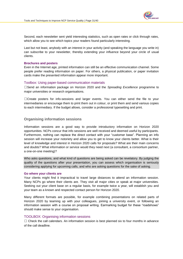

Second, each newsletter sent yield interesting statistics, such as open rates or click through rates, which allow you to see which topics your readers found particularly interesting.

Last but not least, anybody with an interest in your activity (and speaking the language you write in) can subscribe to your newsletter, thereby extending your influence beyond your circle of usual clients.

#### **Brochures and posters**

Even in the Internet age, printed information can still be an effective communication channel. Some people prefer reading information on paper. For others, a physical publication, or paper invitation cards make the presented information appear more important.

#### Toolbox: Using paper-based communication materials

☐Send an information package on Horizon 2020 and the *Spreading Excellence* programme to major universities or research organisations.

☐Create posters for info-sessions and larger events. You can either send the file to your intermediaries or encourage them to print them out in colour, or print them and send various copies to each intermediary. If the budget allows, consider a professional typesetting and print.

#### **Organising information sessions**

Information sessions are a good way to provide introductory information on Horizon 2020 opportunities. NCPs concur that info sessions are well received and deemed useful by participants. Furthermore, nothing can replace the direct contact with your "customer base". Planning an info session will increase your notoriety and allow you to get to know your clients better. What is their level of knowledge and interest in Horizon 2020 calls for proposals? What are their main concerns and doubts? What information or service would they need next (a consultant, a consortium partner, a one-on-one meeting)?

Who asks questions, and what kind of questions are being asked can be revelatory. By judging the quality of the questions after your presentation, you can assess which organisation is seriously considering applying for upcoming calls, and who are asking questions for the sake of asking.

#### **Go where your clients are**

Your clients might find it impractical to travel large distances to attend an information session. Many NCPs go where their clients are. They visit all major cities or speak at major universities. Seeking out your client base on a regular basis, for example twice a year, will establish you and your team as a known and respected contact person for Horizon 2020.

Many different formats are possible, for example combining presentations on related parts of Horizon 2020 by teaming up with your colleagues, joining a university event, or following an information session with a course on proposal writing. Earmarking budget for these "roadshows" should make sense to your organisation.

#### TOOLBOX: Organising information sessions

 $\Box$  Check the call calendars. An information session is best planned six to four months in advance of the call deadline.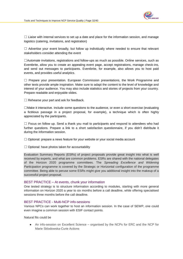

 $\Box$  Liaise with internal services to set up a date and place for the information session, and manage logistics (catering, invitations, and registration)

□ Advertise your event broadly, but follow up individually where needed to ensure that relevant stakeholders consider attending the event

☐Automate invitations, registrations and follow-ups as much as possible. Online services, such as Eventbrite, allow you to create an appealing event page, accept registrations, manage check-ins, and send out messages to participants. Eventbrite, for example, also allows you to host paid events, and provides useful analytics.

 $\Box$  Prepare your presentation. European Commission presentations, the Work Programme and other texts provide ample inspiration. Make sure to adapt the content to the level of knowledge and interest of your audience. You may also include statistics and stories of projects from your country. Prepare readable and enjoyable slides.

☐ Rehearse your part and ask for feedback.

 $\Box$ Make it interactive. Include some questions to the audience, or even a short exercise (evaluating a fictitious passage in a project proposal, for example), a technique which is often highly appreciated by the participants.

□ Focus on follow up. Send a thank you mail to participants and respond to attendees who had further questions. Prepare a link to a short satisfaction questionnaire, if you didn't distribute it during the information session.

 $\Box$  Optional: prepare a news feature for your website or your social media account

 $\Box$  Optional: have photos taken for accountability

Evaluation Summary Reports (ESRs) of project proposals provide great insight into what is well received by experts, and what are common problems. ESRs are shared with the national delegates of the Horizon 2020 programme committees. The *Spreading Excellence and Widening Participation* programme is covered by the Strategic or Horizontal configuration of the programme committee. Being able to peruse some ESRs might give you additional insight into the makeup of a successful project proposal.

#### BEST PRACTICE – At events, chunk your information

One tested strategy is to structure information according to modules, starting with more general information on Horizon 2020 a year to six months before a call deadline, while offering specialised sessions three months before the call deadline.

#### BEST PRACTICE - Multi-NCP info-sessions

Various NPCs can work together to host an information session. In the case of SEWP, one could even imagine a common session with ESIF contact points.

Natural fits could be

• An info-session on Excellent Science – organised by the NCPs for ERC and the NCP for Marie Sklodowska-Curie Actions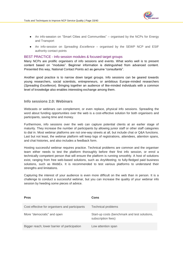

- An info-session on "Smart Cities and Communities" organised by the NCPs for Energy and Transport
- An info-session on *Spreading Excellence* organised by the SEWP NCP and ESIF authority contact points

#### BEST PRACTICE - Info session modules & focused target groups

Many NCPs are prolific organisers of info sessions and events. What works well is to present content based on "modules". Beginner information is distinguished from advanced content. Presented this way, National Contact Points act as genuine "consultants".

Another good practice is to narrow down target groups. Info sessions can be geared towards young researchers, social scientists, entrepreneurs, or ambitious Europe-minded researchers (*Spreading Excellence*). Bringing together an audience of like-minded individuals with a common level of knowledge also enables interesting exchange among them.

#### **Info sessions 2.0: Webinars**

Webcasts or webinars can complement, or even replace, physical info sessions. Spreading the word about funding opportunities over the web is a cost-effective solution for both organisers and participants, saving time and money.

Furthermore, info sessions over the web can capture potential clients at an earlier stage of maturity. They increase the number of participants by allowing junior staff or other staff categories to dial in. Most webinar platforms are not one-way streets at all, but include chat or Q&A functions. Last but not least, the webinar platform will keep logs of registrations, attendees, attention spans, and chat histories, and also includes a feedback form.

Hosting successful webinar requires practice. Technical problems are common and the organiser team either needs to test the platform thoroughly before their first info session, or enrol a technically competent person that will ensure the platform is running smoothly. A host of solutions exist, ranging from free web-based solutions, such as *AnyMeeting*, to fully-fledged paid business solutions, such as WebEx. It is recommended to test various platforms to understand their strengths and limitations.

Capturing the interest of your audience is even more difficult on the web than in person. It is a challenge to conduct a successful webinar, but you can increase the quality of your webinar info session by heeding some pieces of advice.

| <b>Pros</b>                                    | Cons                                                                |
|------------------------------------------------|---------------------------------------------------------------------|
| Cost effective for organisers and participants | <b>Technical problems</b>                                           |
| More "democratic" and open                     | Start-up costs (benchmark and test solutions,<br>subscription fees) |
| Bigger reach; lower barrier of participation   | Low attention span                                                  |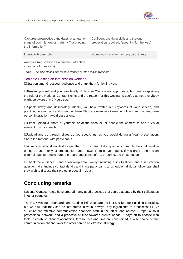

Captures prospective candidates at an earlier stage of commitment or maturity ("just getting the information")

Confident speaking skills and thorough preparation required; "speaking for the web"

Interactivity possible  $\blacksquare$  No networking effect among participants

Analytics (registration vs attendees, attention span, log of questions)

*Table 3 The advantages and inconveniences of info session webinars*

#### Toolbox: Hosting an info session webinar

□Start on time. Greet your audience and thank them for joining you.

☐Present yourself and your role briefly. Extensive CVs are not appropriate, but briefly explaining the role of the National Contact Points and the reason for this webinar is useful, as not everybody might be aware of NCP services.

☐Speak slowly and deliberately. Ideally, you have written out keywords of your speech, and practiced to avoid ahs and uhms, as these fillers are even less tolerable online than in a person-toperson interaction. Avoid digressions.

 $\Box$ Either upload a photo of yourself, or of the speaker, or enable the camera to add a visual element to your speech.

☐Upload and go through slides as you speak, just as you would during a "real" presentation. Share the material with participants.

 $\Box A$  webinar should not last longer than 45 minutes. Take questions through the chat window during or just after your presentation, and answer them as you speak. If you are the host to an external speaker, make sure to prepare questions before, or during, the presentation.

 $\Box$ Thank the audience! Send a follow-up email swiftly, including a link to slides, and a satisfaction questionnaire. Include contact details and invite participants to schedule individual follow-ups shall they wish to discuss their project proposal in detail.

### <span id="page-34-0"></span>**Concluding remarks**

National Contact Points have created many good practices that can be adopted by their colleagues in other countries.

The NCP Minimum Standards and Guiding Principles are the first and foremost guiding principles, but we saw that they can be interpreted in various ways. Key ingredients of a successful NCP structure are effective communication channels both in the office and across Europe, a solid professional network, and a proactive attitude towards clients' needs. It pays off to choose web tools to establish client relationships. If resources and time are constrained, a wise choice of one communication channel over the other can be an effective strategy.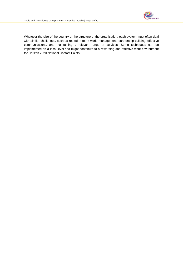

Whatever the size of the country or the structure of the organisation, each system must often deal with similar challenges, such as rooted in team work, management, partnership building, effective communications, and maintaining a relevant range of services. Some techniques can be implemented on a local level and might contribute to a rewarding and effective work environment for Horizon 2020 National Contact Points.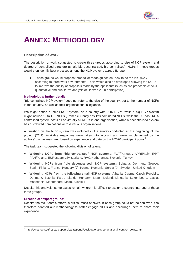

# <span id="page-36-0"></span>**ANNEX: METHODOLOGY**

#### **Description of work**

The description of work suggested to create three groups according to size of NCP system and degree of centralised structure (small, big decentralised, big centralised). NCPs in these groups would then identify best practices among the NCP systems across Europe.

● These groups would propose three tailor made guides on "how to do the job" (D2.7) according to three work environments. Tools would also be developed allowing the NCPs to improve the quality of proposals made by the applicants (such as pre-proposals checks, quantitative and qualitative analysis of Horizon 2020 participation).

#### **Methodology: further details**

"Big centralised NCP system" does not refer to the size of the country, but to the number of NCPs in that country, as well as their organisational allegiance.

We might define a "small NCP system" as a country with 0-15 NCPs, while a big NCP system might include 15 to 40+ NCPs (France currently has 128 nominated NCPs, while the UK has 26). A centralised system hosts all or virtually all NCPs in one organisation, while a decentralised system has distributed nominations across various organisations.

A question on the NCP system was included in the survey conducted at the beginning of the project (T2.1). Available responses were taken into account and were supplemented by the authors' own assessment, based on experience and data on the H2020 participant portal<sup>6</sup>.

The task team suggested the following division of teams:

- **Widening NCPs from "big centralised" NCP systems**: FCT/Portugal, APRE/Italy, IPPT PAN/Poland, EUResearch/Switzerland, RVO/Netherlands, Slovenia, Turkey
- **Widening NCPs from "big decentralised" NCP systems:** Bulgaria, Germany, Greece, Spain, Finland, France, Hungary (?), Ireland, Romania, Serbia (?), Sweden, United Kingdom
- Widening NCPs from the following small NCP systems: Albania, Cyprus, Czech Republic, Denmark, Estonia, Faroe Islands, Hungary, Israel, Iceland, Lithuania, Luxembourg, Latvia, Macedonia, Montenegro, Malta, Slovakia

Despite this analysis, some cases remain where it is difficult to assign a country into one of these three groups.

#### **Creation of "expert groups"**

 $\overline{a}$ 

Despite the task team's efforts, a critical mass of NCPs in each group could not be achieved. We therefore adapted our methodology to better engage NCPs and encourage them to share their experience.

<sup>6</sup> http://ec.europa.eu/research/participants/portal/desktop/en/support/national\_contact\_points.html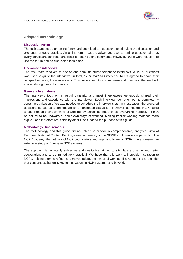

#### **Adapted methodology**

#### **Discussion forum**

The task team set up an online forum and submitted ten questions to stimulate the discussion and exchange of good practice. An online forum has the advantage over an online questionnaire, as every participant can read, and react to, each other's comments. However, NCPs were reluctant to use the forum and no discussion took place.

#### **One-on-one interviews**

The task team resolved to one-on-one semi-structured telephone interviews. A list of questions was used to guide the interviews. In total, 17 *Spreading Excellence* NCPs agreed to share their perspective during these interviews. This guide attempts to summarize and to expand the feedback shared during these discussions.

#### **General observations**

The interviews took on a fruitful dynamic, and most interviewees generously shared their impressions and experience with the interviewer. Each interview took one hour to complete. A certain organisation effort was needed to schedule the interview slots. In most cases, the prepared questions served as a springboard for an animated discussion. However, sometimes NCPs failed to see through their own ways of working, by explaining that they did everything "normally". It may be natural to be unaware of one's own ways of working! Making implicit working methods more explicit, and therefore replicable by others, was indeed the purpose of this guide.

#### **Methodology: final remarks**

The methodology and this guide did not intend to provide a comprehensive, analytical view of European National Contact Point systems in general, or the SEWP configuration in particular. The NCP Academy, the network of NCP coordinators and legal and financial NCPs, have foreseen an extensive study of European NCP systems.

The approach is voluntarily subjective and qualitative, aiming to stimulate exchange and better cooperation, and to be immediately practical. We hope that this work will provide inspiration to NCPs, helping them to reflect, and maybe adapt, their ways of working. If anything, it is a reminder that constant exchange is key to innovation, in NCP systems, and beyond.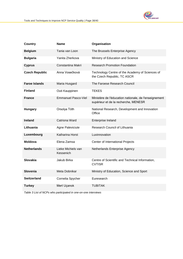

| <b>Country</b>        | <b>Name</b>                     | Organisation                                                                                  |
|-----------------------|---------------------------------|-----------------------------------------------------------------------------------------------|
| <b>Belgium</b>        | Tania van Loon                  | The Brussels Enterprise Agency                                                                |
| <b>Bulgaria</b>       | Yanita Zherkova                 | Ministry of Education and Science                                                             |
| <b>Cyprus</b>         | Constantina Makri               | <b>Research Promotion Foundation</b>                                                          |
| <b>Czech Republic</b> | Anna Vosečková                  | Technology Centre of the Academy of Sciences of<br>the Czech Republic, TC ASCR                |
| <b>Faroe Islands</b>  | Maria Husgard                   | The Faroese Research Council                                                                  |
| <b>Finland</b>        | Outi Kauppinen                  | <b>TEKES</b>                                                                                  |
| <b>France</b>         | <b>Emmanuel Pasco-Viel</b>      | Ministère de l'éducation nationale, de l'enseignement<br>supérieur et de la recherche, MENESR |
| <b>Hungary</b>        | Orsolya Tóth                    | National Research, Development and Innovation<br>Office                                       |
| <b>Ireland</b>        | Catriona Ward                   | Enterprise Ireland                                                                            |
| Lithuania             | Agne Paleviciute                | Research Council of Lithuania                                                                 |
| Luxembourg            | Katharina Horst                 | Luxinnovation                                                                                 |
| <b>Moldova</b>        | Elena Zamsa                     | Center of International Projects                                                              |
| <b>Netherlands</b>    | Lieke Michiels van<br>Kessenich | Netherlands Enterprise Agency                                                                 |
| <b>Slovakia</b>       | Jakub Birka                     | Centre of Scientific and Technical Information,<br><b>CVTISR</b>                              |
| Slovenia              | Meta Dobnikar                   | Ministry of Education, Science and Sport                                                      |
| <b>Switzerland</b>    | Cornelia Spycher                | Euresearch                                                                                    |
| <b>Turkey</b>         | Mert Uçanok                     | <b>TUBITAK</b>                                                                                |

<span id="page-38-0"></span>*Table 3 List of NCPs who participated in one-on-one interviews*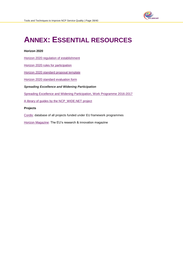

## <span id="page-39-0"></span>**ANNEX: ESSENTIAL RESOURCES**

#### **Horizon 2020**

[Horizon 2020 regulation of establishment](http://ec.europa.eu/research/participants/data/ref/h2020/legal_basis/fp/h2020-eu-establact_en.pdf)

Horizon 2020 [rules for participation](http://ec.europa.eu/research/participants/data/ref/h2020/legal_basis/rules_participation/h2020-rules-participation_en.pdf)

[Horizon 2020 standard proposal template](http://ec.europa.eu/research/participants/data/ref/h2020/call_ptef/pt/2016-2017/h2020-call-pt-ria-ia-2016-17_en.pdf)

[Horizon 2020 standard evaluation form](http://ec.europa.eu/research/participants/data/ref/h2020/call_ptef/ef/h2020-call-ef-ria-ia-csa_en.pdf)

*Spreading Excellence and Widening Participation*

[Spreading Excellence and Widening Participation, Work Programme 2016-2017](http://ec.europa.eu/research/participants/data/ref/h2020/wp/2016_2017/main/h2020-wp1617-sewp_en.pdf)

[A library of guides by the NCP\\_WIDE.NET project](http://www.ncpwidenet.eu/publications/)

#### **Projects**

[Cordis:](http://cordis.europa.eu/projects/home_en.html) database of all projects funded under EU framework programmes

[Horizon Magazine:](http://horizon-magazine.eu/) The EU's research & innovation magazine